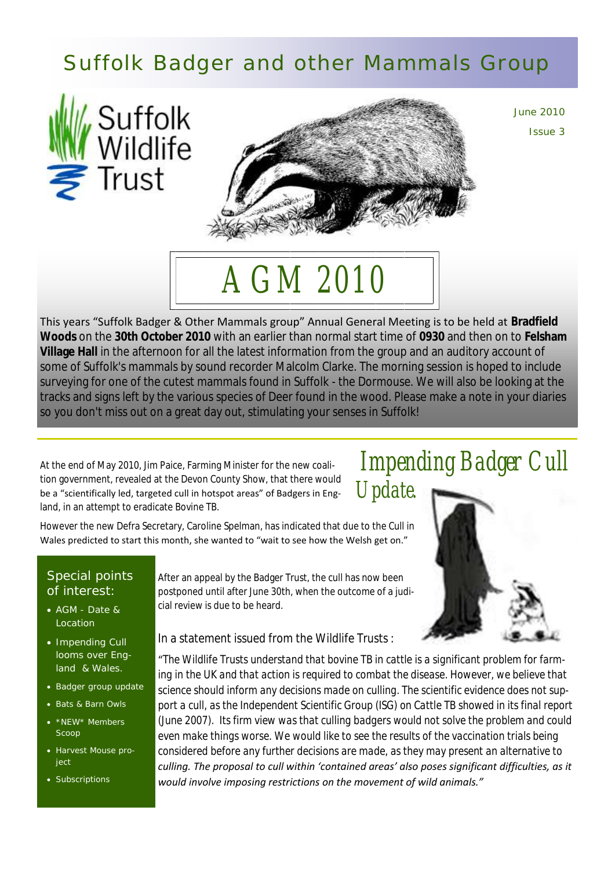### Suffolk Badger and other Mammals Group





June 2010 Issue 3

# *AGM 2010*

This years "Suffolk Badger & Other Mammals group" Annual General Meeting is to be held at **Bradfield Woods** on the **30th October 2010** with an earlier than normal start time of **0930** and then on to **Felsham Village Hall** in the afternoon for all the latest information from the group and an auditory account of some of Suffolk's mammals by sound recorder Malcolm Clarke. The morning session is hoped to include surveying for one of the cutest mammals found in Suffolk - the Dormouse. We will also be looking at the tracks and signs left by the various species of Deer found in the wood. Please make a note in your diaries so you don't miss out on a great day out, stimulating your senses in Suffolk!

At the end of May 2010, Jim Paice, Farming Minister for the new coalition government, revealed at the Devon County Show, that there would be a "scientifically led, targeted cull in hotspot areas" of Badgers in England, in an attempt to eradicate Bovine TB.

However the new Defra Secretary, Caroline Spelman, has indicated that due to the Cull in Wales predicted to start this month, she wanted to "wait to see how the Welsh get on."

#### Special points of interest:

- AGM Date & Location
- Impending Cull looms over England & Wales.
- Badger group update
- Bats & Barn Owls
- \*NEW\* Members Scoop
- Harvest Mouse proiect
- Subscriptions

After an appeal by the Badger Trust, the cull has now been postponed until after June 30th, when the outcome of a judicial review is due to be heard.

In a statement issued from the Wildlife Trusts :

"*The Wildlife Trusts understand that bovine TB in cattle is a significant problem for farming in the UK and that action is required to combat the disease. However, we believe that science should inform any decisions made on culling. The scientific evidence does not support a cull, as the Independent Scientific Group (ISG) on Cattle TB showed in its final report (June 2007). Its firm view was that culling badgers would not solve the problem and could even make things worse. We would like to see the results of the vaccination trials being considered before any further decisions are made, as they may present an alternative to culling. The proposal to cull within 'contained areas' also poses significant difficulties, as it would involve imposing restrictions on the movement of wild animals."*

### *Impending Badger Cull Update.*

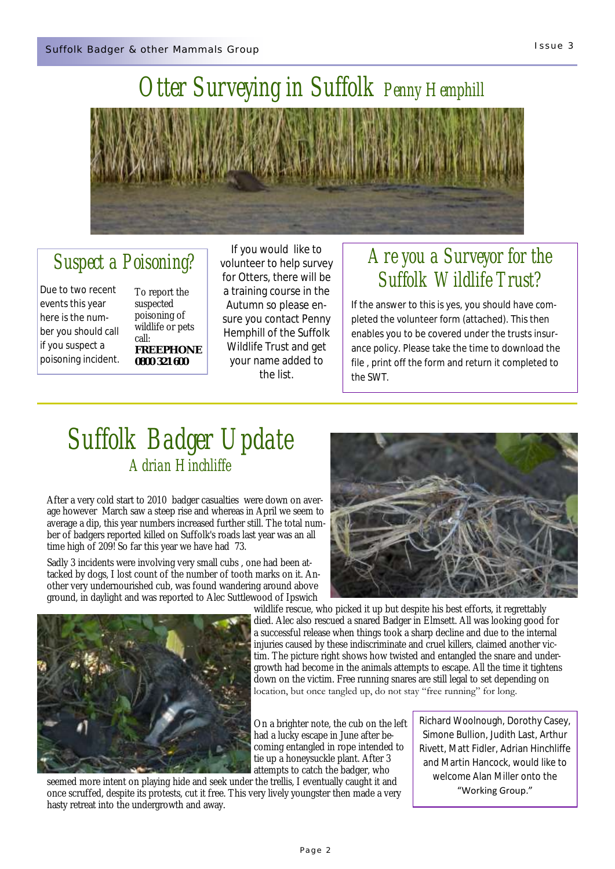

### *Otter Surveying in Suffolk Penny Hemphill*

### *Suspect a Poisoning?*

Due to two recent events this year here is the number you should call if you suspect a poisoning incident.

To report the suspected poisoning of wildlife or pets call: **FREEPHONE 0800 321 600**

If you would like to volunteer to help survey for Otters, there will be a training course in the Autumn so please ensure you contact Penny Hemphill of the Suffolk Wildlife Trust and get your name added to the list.

### *Are you a Surveyor for the Suffolk Wildlife Trust?*

If the answer to this is yes, you should have completed the volunteer form (attached). This then enables you to be covered under the trusts insurance policy. Please take the time to download the file , print off the form and return it completed to the SWT.

### *Suffolk Badger Update Adrian Hinchliffe*

After a very cold start to 2010 badger casualties were down on average however March saw a steep rise and whereas in April we seem to average a dip, this year numbers increased further still. The total number of badgers reported killed on Suffolk's roads last year was an all time high of 209! So far this year we have had 73.

Sadly 3 incidents were involving very small cubs , one had been attacked by dogs, I lost count of the number of tooth marks on it. Another very undernourished cub, was found wandering around above ground, in daylight and was reported to Alec Suttlewood of Ipswich





wildlife rescue, who picked it up but despite his best efforts, it regrettably died. Alec also rescued a snared Badger in Elmsett. All was looking good for a successful release when things took a sharp decline and due to the internal injuries caused by these indiscriminate and cruel killers, claimed another victim. The picture right shows how twisted and entangled the snare and undergrowth had become in the animals attempts to escape. All the time it tightens down on the victim. Free running snares are still legal to set depending on location, but once tangled up, do not stay "free running" for long.

On a brighter note, the cub on the left had a lucky escape in June after becoming entangled in rope intended to tie up a honeysuckle plant. After 3 attempts to catch the badger, who

seemed more intent on playing hide and seek under the trellis, I eventually caught it and once scruffed, despite its protests, cut it free. This very lively youngster then made a very hasty retreat into the undergrowth and away.

Richard Woolnough, Dorothy Casey, Simone Bullion, Judith Last, Arthur Rivett, Matt Fidler, Adrian Hinchliffe and Martin Hancock, would like to welcome Alan Miller onto the "Working Group."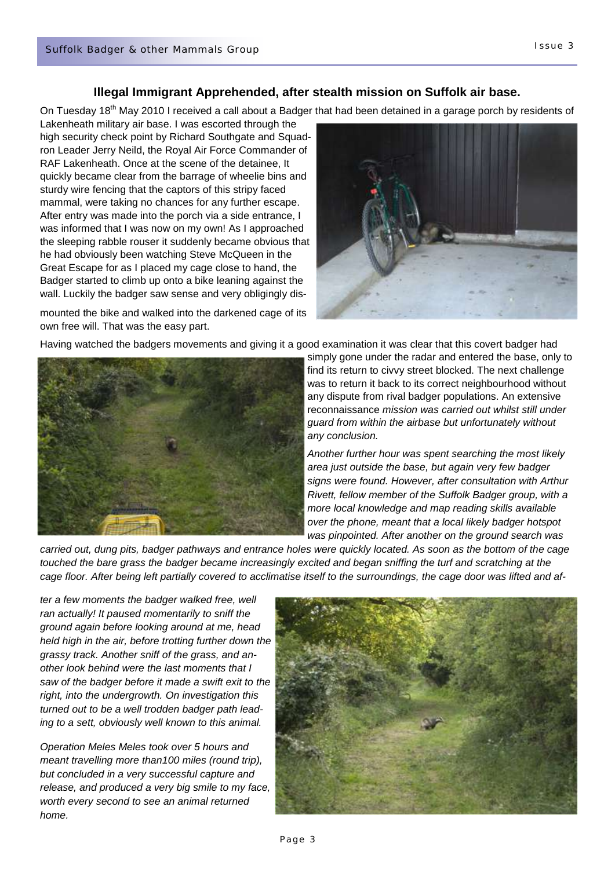#### **Illegal Immigrant Apprehended, after stealth mission on Suffolk air base.**

On Tuesday 18<sup>th</sup> May 2010 I received a call about a Badger that had been detained in a garage porch by residents of

Lakenheath military air base. I was escorted through the high security check point by Richard Southgate and Squadron Leader Jerry Neild, the Royal Air Force Commander of RAF Lakenheath. Once at the scene of the detainee, It quickly became clear from the barrage of wheelie bins and sturdy wire fencing that the captors of this stripy faced mammal, were taking no chances for any further escape. After entry was made into the porch via a side entrance, I was informed that I was now on my own! As I approached the sleeping rabble rouser it suddenly became obvious that he had obviously been watching Steve McQueen in the Great Escape for as I placed my cage close to hand, the Badger started to climb up onto a bike leaning against the wall. Luckily the badger saw sense and very obligingly dis-

mounted the bike and walked into the darkened cage of its own free will. That was the easy part.



Having watched the badgers movements and giving it a good examination it was clear that this covert badger had



simply gone under the radar and entered the base, only to find its return to civvy street blocked. The next challenge was to return it back to its correct neighbourhood without any dispute from rival badger populations. An extensive reconnaissance *mission was carried out whilst still under guard from within the airbase but unfortunately without any conclusion.* 

*Another further hour was spent searching the most likely area just outside the base, but again very few badger signs were found. However, after consultation with Arthur Rivett, fellow member of the Suffolk Badger group, with a more local knowledge and map reading skills available over the phone, meant that a local likely badger hotspot was pinpointed. After another on the ground search was* 

*carried out, dung pits, badger pathways and entrance holes were quickly located. As soon as the bottom of the cage*  touched the bare grass the badger became increasingly excited and began sniffing the turf and scratching at the *cage floor. After being left partially covered to acclimatise itself to the surroundings, the cage door was lifted and af-*

*ter a few moments the badger walked free, well ran actually! It paused momentarily to sniff the ground again before looking around at me, head held high in the air, before trotting further down the grassy track. Another sniff of the grass, and another look behind were the last moments that I saw of the badger before it made a swift exit to the right, into the undergrowth. On investigation this turned out to be a well trodden badger path leading to a sett, obviously well known to this animal.* 

*Operation Meles Meles took over 5 hours and meant travelling more than100 miles (round trip), but concluded in a very successful capture and release, and produced a very big smile to my face, worth every second to see an animal returned home.* 

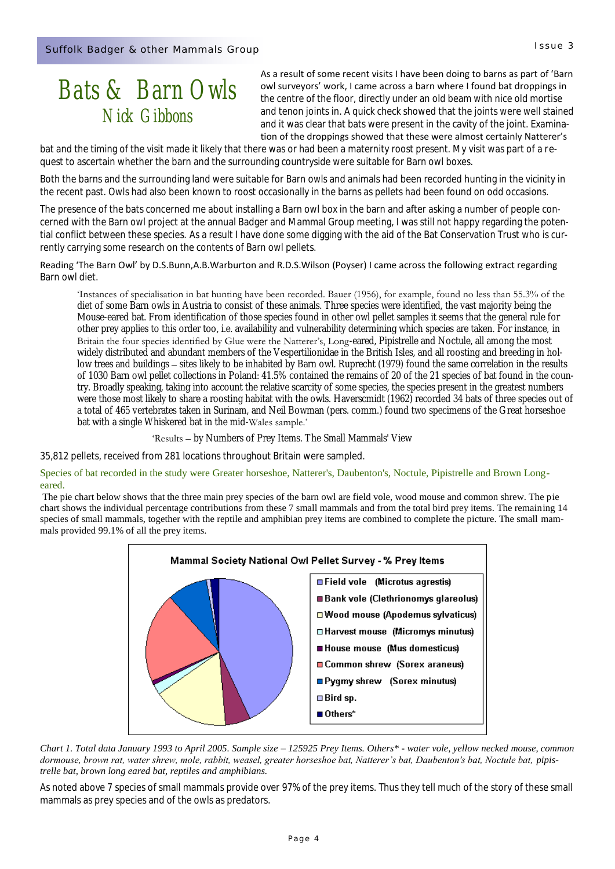### *Bats & Barn Owls Nick Gibbons*

As a result of some recent visits I have been doing to barns as part of 'Barn owl surveyors' work, I came across a barn where I found bat droppings in the centre of the floor, directly under an old beam with nice old mortise and tenon joints in. A quick check showed that the joints were well stained and it was clear that bats were present in the cavity of the joint. Examination of the droppings showed that these were almost certainly Natterer's

bat and the timing of the visit made it likely that there was or had been a maternity roost present. My visit was part of a request to ascertain whether the barn and the surrounding countryside were suitable for Barn owl boxes.

Both the barns and the surrounding land were suitable for Barn owls and animals had been recorded hunting in the vicinity in the recent past. Owls had also been known to roost occasionally in the barns as pellets had been found on odd occasions.

The presence of the bats concerned me about installing a Barn owl box in the barn and after asking a number of people concerned with the Barn owl project at the annual Badger and Mammal Group meeting, I was still not happy regarding the potential conflict between these species. As a result I have done some digging with the aid of the Bat Conservation Trust who is currently carrying some research on the contents of Barn owl pellets.

#### Reading 'The Barn Owl' by D.S.Bunn,A.B.Warburton and R.D.S.Wilson (Poyser) I came across the following extract regarding Barn owl diet.

Instances of specialisation in bat hunting have been recorded. Bauer (1956), for example, found no less than 55.3% of the diet of some Barn owls in Austria to consist of these animals. Three species were identified, the vast majority being the Mouse-eared bat. From identification of those species found in other owl pellet samples it seems that the general rule for other prey applies to this order too, i.e. availability and vulnerability determining which species are taken. For instance, in Britain the four species identified by Glue were the Natterer's, Long-eared, Pipistrelle and Noctule, all among the most widely distributed and abundant members of the Vespertilionidae in the British Isles, and all roosting and breeding in hollow trees and buildings – sites likely to be inhabited by Barn owl. Ruprecht (1979) found the same correlation in the results of 1030 Barn owl pellet collections in Poland: 41.5% contained the remains of 20 of the 21 species of bat found in the country. Broadly speaking, taking into account the relative scarcity of some species, the species present in the greatest numbers were those most likely to share a roosting habitat with the owls. Haverscmidt (1962) recorded 34 bats of three species out of a total of 465 vertebrates taken in Surinam, and Neil Bowman (pers. comm.) found two specimens of the Great horseshoe bat with a single Whiskered bat in the mid-Wales sample.'

'Results - by Numbers of Prey Items. The Small Mammals' View

35,812 pellets, received from 281 locations throughout Britain were sampled.

#### Species of bat recorded in the study were Greater horseshoe, Natterer's, Daubenton's, Noctule, Pipistrelle and Brown Longeared.

The pie chart below shows that the three main prey species of the barn owl are field vole, wood mouse and common shrew. The pie chart shows the individual percentage contributions from these 7 small mammals and from the total bird prey items. The remaining 14 species of small mammals, together with the reptile and amphibian prey items are combined to complete the picture. The small mammals provided 99.1% of all the prey items.



*Chart 1. Total data January 1993 to April 2005. Sample size – 125925 Prey Items. Others\* - water vole, yellow necked mouse, common dormouse, brown rat, water shrew, mole, rabbit, weasel, greater horseshoe bat, Natterer's bat, Daubenton's bat, Noctule bat, pipistrelle bat, brown long eared bat, reptiles and amphibians.* 

As noted above 7 species of small mammals provide over 97% of the prey items. Thus they tell much of the story of these small mammals as prey species and of the owls as predators.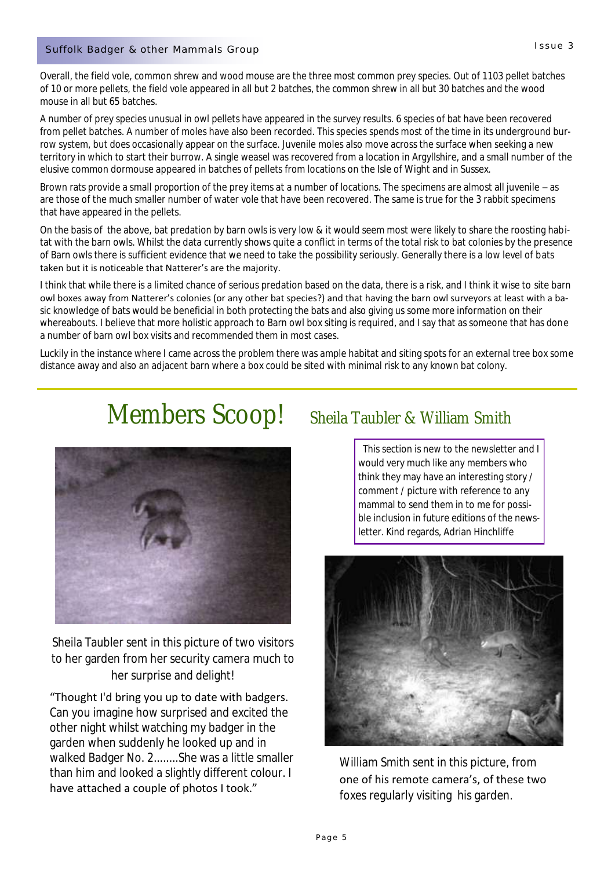### Suffolk Badger & other Mammals Group Communication of the Surface of the Surface 3 Surface 3 Surface 3 Surface 3

Overall, the field vole, common shrew and wood mouse are the three most common prey species. Out of 1103 pellet batches of 10 or more pellets, the field vole appeared in all but 2 batches, the common shrew in all but 30 batches and the wood mouse in all but 65 batches.

A number of prey species unusual in owl pellets have appeared in the survey results. 6 species of bat have been recovered from pellet batches. A number of moles have also been recorded. This species spends most of the time in its underground burrow system, but does occasionally appear on the surface. Juvenile moles also move across the surface when seeking a new territory in which to start their burrow. A single weasel was recovered from a location in Argyllshire, and a small number of the elusive common dormouse appeared in batches of pellets from locations on the Isle of Wight and in Sussex.

Brown rats provide a small proportion of the prey items at a number of locations. The specimens are almost all juvenile – as are those of the much smaller number of water vole that have been recovered. The same is true for the 3 rabbit specimens that have appeared in the pellets.

On the basis of the above, bat predation by barn owls is very low & it would seem most were likely to share the roosting habitat with the barn owls. Whilst the data currently shows quite a conflict in terms of the total risk to bat colonies by the presence of Barn owls there is sufficient evidence that we need to take the possibility seriously. Generally there is a low level of bats taken but it is noticeable that Natterer's are the majority.

I think that while there is a limited chance of serious predation based on the data, there is a risk, and I think it wise to site barn owl boxes away from Natterer's colonies (or any other bat species?) and that having the barn owl surveyors at least with a basic knowledge of bats would be beneficial in both protecting the bats and also giving us some more information on their whereabouts. I believe that more holistic approach to Barn owl box siting is required, and I say that as someone that has done a number of barn owl box visits and recommended them in most cases.

Luckily in the instance where I came across the problem there was ample habitat and siting spots for an external tree box some distance away and also an adjacent barn where a box could be sited with minimal risk to any known bat colony.

## Members Scoop! sheila Taubler & William Smith



Sheila Taubler sent in this picture of two visitors to her garden from her security camera much to her surprise and delight!

"Thought I'd bring you up to date with badgers. Can you imagine how surprised and excited the other night whilst watching my badger in the garden when suddenly he looked up and in walked Badger No. 2........She was a little smaller than him and looked a slightly different colour. I have attached a couple of photos I took."

 This section is new to the newsletter and I would very much like any members who think they may have an interesting story / comment / picture with reference to any mammal to send them in to me for possible inclusion in future editions of the newsletter. Kind regards, Adrian Hinchliffe



William Smith sent in this picture, from one of his remote camera's, of these two foxes regularly visiting his garden.